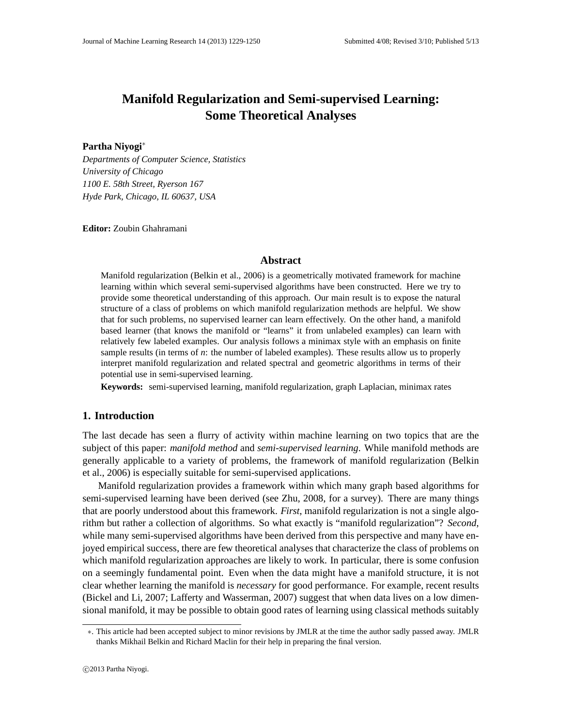# **Manifold Regularization and Semi-supervised Learning: Some Theoretical Analyses**

# **Partha Niyogi**∗

*Departments of Computer Science, Statistics University of Chicago 1100 E. 58th Street, Ryerson 167 Hyde Park, Chicago, IL 60637, USA*

**Editor:** Zoubin Ghahramani

## **Abstract**

Manifold regularization (Belkin et al., 2006) is a geometrically motivated framework for machine learning within which several semi-supervised algorithms have been constructed. Here we try to provide some theoretical understanding of this approach. Our main result is to expose the natural structure of a class of problems on which manifold regularization methods are helpful. We show that for such problems, no supervised learner can learn effectively. On the other hand, a manifold based learner (that knows the manifold or "learns" it from unlabeled examples) can learn with relatively few labeled examples. Our analysis follows a minimax style with an emphasis on finite sample results (in terms of *n*: the number of labeled examples). These results allow us to properly interpret manifold regularization and related spectral and geometric algorithms in terms of their potential use in semi-supervised learning.

**Keywords:** semi-supervised learning, manifold regularization, graph Laplacian, minimax rates

# **1. Introduction**

The last decade has seen a flurry of activity within machine learning on two topics that are the subject of this paper: *manifold method* and *semi-supervised learning*. While manifold methods are generally applicable to a variety of problems, the framework of manifold regularization (Belkin et al., 2006) is especially suitable for semi-supervised applications.

Manifold regularization provides a framework within which many graph based algorithms for semi-supervised learning have been derived (see Zhu, 2008, for a survey). There are many things that are poorly understood about this framework. *First*, manifold regularization is not a single algorithm but rather a collection of algorithms. So what exactly is "manifold regularization"? *Second*, while many semi-supervised algorithms have been derived from this perspective and many have enjoyed empirical success, there are few theoretical analyses that characterize the class of problems on which manifold regularization approaches are likely to work. In particular, there is some confusion on a seemingly fundamental point. Even when the data might have a manifold structure, it is not clear whether learning the manifold is *necessary* for good performance. For example, recent results (Bickel and Li, 2007; Lafferty and Wasserman, 2007) suggest that when data lives on a low dimensional manifold, it may be possible to obtain good rates of learning using classical methods suitably

<sup>∗</sup>. This article had been accepted subject to minor revisions by JMLR at the time the author sadly passed away. JMLR thanks Mikhail Belkin and Richard Maclin for their help in preparing the final version.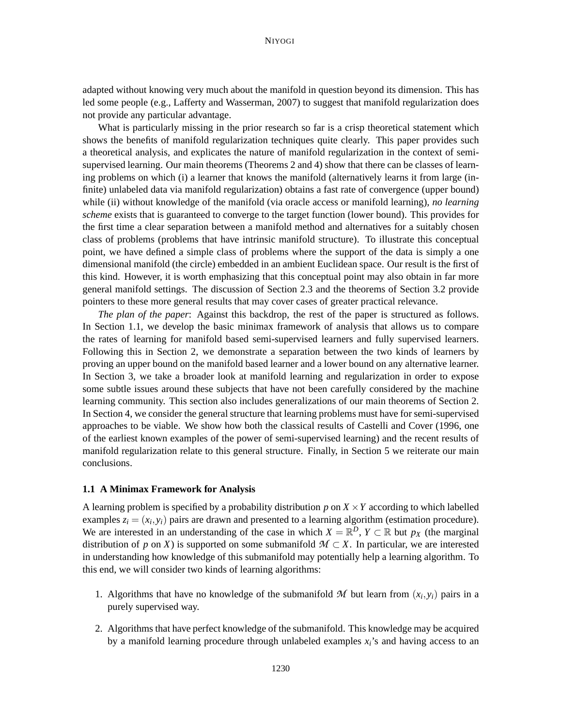adapted without knowing very much about the manifold in question beyond its dimension. This has led some people (e.g., Lafferty and Wasserman, 2007) to suggest that manifold regularization does not provide any particular advantage.

What is particularly missing in the prior research so far is a crisp theoretical statement which shows the benefits of manifold regularization techniques quite clearly. This paper provides such a theoretical analysis, and explicates the nature of manifold regularization in the context of semisupervised learning. Our main theorems (Theorems 2 and 4) show that there can be classes of learning problems on which (i) a learner that knows the manifold (alternatively learns it from large (infinite) unlabeled data via manifold regularization) obtains a fast rate of convergence (upper bound) while (ii) without knowledge of the manifold (via oracle access or manifold learning), *no learning scheme* exists that is guaranteed to converge to the target function (lower bound). This provides for the first time a clear separation between a manifold method and alternatives for a suitably chosen class of problems (problems that have intrinsic manifold structure). To illustrate this conceptual point, we have defined a simple class of problems where the support of the data is simply a one dimensional manifold (the circle) embedded in an ambient Euclidean space. Our result is the first of this kind. However, it is worth emphasizing that this conceptual point may also obtain in far more general manifold settings. The discussion of Section 2.3 and the theorems of Section 3.2 provide pointers to these more general results that may cover cases of greater practical relevance.

*The plan of the paper*: Against this backdrop, the rest of the paper is structured as follows. In Section 1.1, we develop the basic minimax framework of analysis that allows us to compare the rates of learning for manifold based semi-supervised learners and fully supervised learners. Following this in Section 2, we demonstrate a separation between the two kinds of learners by proving an upper bound on the manifold based learner and a lower bound on any alternative learner. In Section 3, we take a broader look at manifold learning and regularization in order to expose some subtle issues around these subjects that have not been carefully considered by the machine learning community. This section also includes generalizations of our main theorems of Section 2. In Section 4, we consider the general structure that learning problems must have for semi-supervised approaches to be viable. We show how both the classical results of Castelli and Cover (1996, one of the earliest known examples of the power of semi-supervised learning) and the recent results of manifold regularization relate to this general structure. Finally, in Section 5 we reiterate our main conclusions.

## **1.1 A Minimax Framework for Analysis**

A learning problem is specified by a probability distribution *p* on *X* ×*Y* according to which labelled examples  $z_i = (x_i, y_i)$  pairs are drawn and presented to a learning algorithm (estimation procedure). We are interested in an understanding of the case in which  $X = \mathbb{R}^D$ ,  $Y \subset \mathbb{R}$  but  $p_X$  (the marginal distribution of *p* on *X*) is supported on some submanifold  $M \subset X$ . In particular, we are interested in understanding how knowledge of this submanifold may potentially help a learning algorithm. To this end, we will consider two kinds of learning algorithms:

- 1. Algorithms that have no knowledge of the submanifold  $M$  but learn from  $(x_i, y_i)$  pairs in a purely supervised way.
- 2. Algorithms that have perfect knowledge of the submanifold. This knowledge may be acquired by a manifold learning procedure through unlabeled examples *xi*'s and having access to an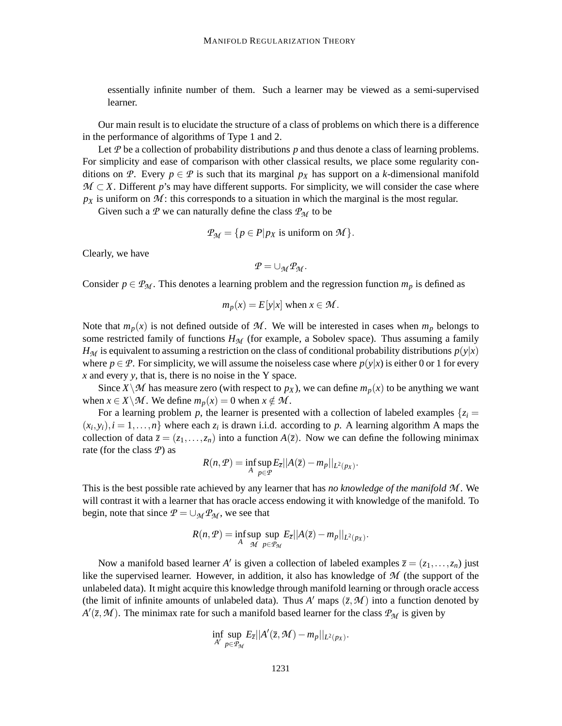essentially infinite number of them. Such a learner may be viewed as a semi-supervised learner.

Our main result is to elucidate the structure of a class of problems on which there is a difference in the performance of algorithms of Type 1 and 2.

Let *P* be a collection of probability distributions *p* and thus denote a class of learning problems. For simplicity and ease of comparison with other classical results, we place some regularity conditions on *P*. Every  $p \in P$  is such that its marginal  $p_X$  has support on a *k*-dimensional manifold *M* ⊂ *X*. Different *p*'s may have different supports. For simplicity, we will consider the case where  $p<sub>X</sub>$  is uniform on  $M$ : this corresponds to a situation in which the marginal is the most regular.

Given such a  $P$  we can naturally define the class  $P_M$  to be

$$
\mathcal{P}_{\mathcal{M}} = \{ p \in P | p_X \text{ is uniform on } \mathcal{M} \}.
$$

Clearly, we have

$$
\mathcal{P}=\cup_{\mathcal{M}}\mathcal{P}_{\mathcal{M}}.
$$

Consider  $p \in \mathcal{P}_M$ . This denotes a learning problem and the regression function  $m_p$  is defined as

$$
m_p(x) = E[y|x] \text{ when } x \in \mathcal{M}
$$

Note that  $m_p(x)$  is not defined outside of M. We will be interested in cases when  $m_p$  belongs to some restricted family of functions  $H<sub>M</sub>$  (for example, a Sobolev space). Thus assuming a family  $H_M$  is equivalent to assuming a restriction on the class of conditional probability distributions  $p(y|x)$ where  $p \in \mathcal{P}$ . For simplicity, we will assume the noiseless case where  $p(y|x)$  is either 0 or 1 for every *x* and every *y*, that is, there is no noise in the Y space.

Since  $X\setminus M$  has measure zero (with respect to  $p_X$ ), we can define  $m_p(x)$  to be anything we want when  $x \in X \backslash \mathcal{M}$ . We define  $m_p(x) = 0$  when  $x \notin \mathcal{M}$ .

For a learning problem *p*, the learner is presented with a collection of labeled examples  $\{z_i =$  $(x_i, y_i)$ ,  $i = 1, \ldots, n$ } where each  $z_i$  is drawn i.i.d. according to *p*. A learning algorithm A maps the collection of data  $\overline{z} = (z_1, \ldots, z_n)$  into a function  $A(\overline{z})$ . Now we can define the following minimax rate (for the class *P*) as

$$
R(n, \mathcal{P}) = \inf_{A} \sup_{p \in \mathcal{P}} E_{\overline{z}} ||A(\overline{z}) - m_p||_{L^2(p_X)}.
$$

This is the best possible rate achieved by any learner that has *no knowledge of the manifold M* . We will contrast it with a learner that has oracle access endowing it with knowledge of the manifold. To begin, note that since  $P = \bigcup_{\mathcal{M}} P_{\mathcal{M}}$ , we see that

$$
R(n, \mathcal{P}) = \inf_{A} \sup_{\mathcal{M}} \sup_{p \in \mathcal{P}_{\mathcal{M}}} E_{\overline{z}} ||A(\overline{z}) - m_{p}||_{L^{2}(p_{X})}.
$$

Now a manifold based learner *A'* is given a collection of labeled examples  $\bar{z} = (z_1, \ldots, z_n)$  just like the supervised learner. However, in addition, it also has knowledge of *M* (the support of the unlabeled data). It might acquire this knowledge through manifold learning or through oracle access (the limit of infinite amounts of unlabeled data). Thus  $A'$  maps  $(\bar{z}, M)$  into a function denoted by  $A'(\bar{z}, M)$ . The minimax rate for such a manifold based learner for the class  $P_M$  is given by

$$
\inf_{A'} \sup_{p \in \mathcal{P}_{\mathcal{M}}} E_{\overline{z}} || A'(\overline{z}, \mathcal{M}) - m_p ||_{L^2(p_X)}.
$$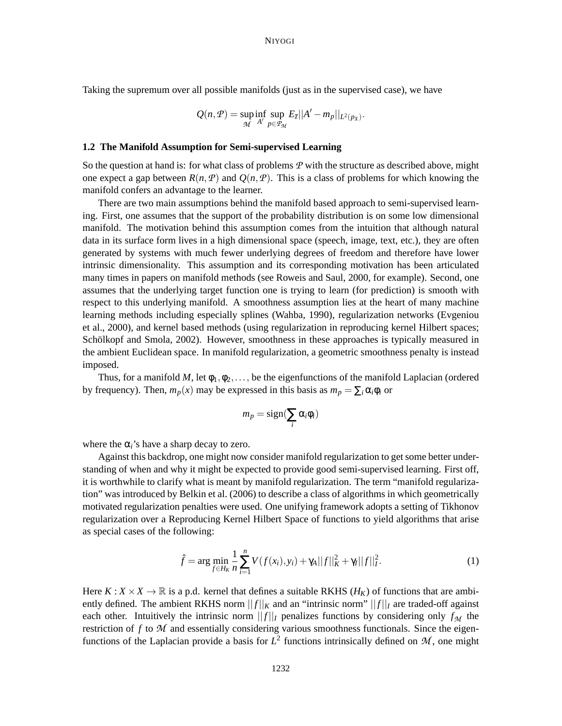Taking the supremum over all possible manifolds (just as in the supervised case), we have

$$
Q(n, P) = \sup_{\mathcal{M}} \inf_{A'} \sup_{p \in \mathcal{P}_{\mathcal{M}}} E_{\overline{z}} ||A' - m_p||_{L^2(p_X)}.
$$

#### **1.2 The Manifold Assumption for Semi-supervised Learning**

So the question at hand is: for what class of problems *P* with the structure as described above, might one expect a gap between  $R(n, P)$  and  $Q(n, P)$ . This is a class of problems for which knowing the manifold confers an advantage to the learner.

There are two main assumptions behind the manifold based approach to semi-supervised learning. First, one assumes that the support of the probability distribution is on some low dimensional manifold. The motivation behind this assumption comes from the intuition that although natural data in its surface form lives in a high dimensional space (speech, image, text, etc.), they are often generated by systems with much fewer underlying degrees of freedom and therefore have lower intrinsic dimensionality. This assumption and its corresponding motivation has been articulated many times in papers on manifold methods (see Roweis and Saul, 2000, for example). Second, one assumes that the underlying target function one is trying to learn (for prediction) is smooth with respect to this underlying manifold. A smoothness assumption lies at the heart of many machine learning methods including especially splines (Wahba, 1990), regularization networks (Evgeniou et al., 2000), and kernel based methods (using regularization in reproducing kernel Hilbert spaces; Schölkopf and Smola, 2002). However, smoothness in these approaches is typically measured in the ambient Euclidean space. In manifold regularization, a geometric smoothness penalty is instead imposed.

Thus, for a manifold *M*, let  $\phi_1, \phi_2, \ldots$ , be the eigenfunctions of the manifold Laplacian (ordered by frequency). Then,  $m_p(x)$  may be expressed in this basis as  $m_p = \sum_i \alpha_i \phi_i$  or

$$
m_p = sign(\sum_i \alpha_i \phi_i)
$$

where the  $\alpha_i$ 's have a sharp decay to zero.

Against this backdrop, one might now consider manifold regularization to get some better understanding of when and why it might be expected to provide good semi-supervised learning. First off, it is worthwhile to clarify what is meant by manifold regularization. The term "manifold regularization" was introduced by Belkin et al. (2006) to describe a class of algorithms in which geometrically motivated regularization penalties were used. One unifying framework adopts a setting of Tikhonov regularization over a Reproducing Kernel Hilbert Space of functions to yield algorithms that arise as special cases of the following:

$$
\hat{f} = \arg\min_{f \in H_K} \frac{1}{n} \sum_{i=1}^n V(f(x_i), y_i) + \gamma_A ||f||_K^2 + \gamma_I ||f||_I^2.
$$
 (1)

Here  $K: X \times X \to \mathbb{R}$  is a p.d. kernel that defines a suitable RKHS ( $H_K$ ) of functions that are ambiently defined. The ambient RKHS norm  $||f||_K$  and an "intrinsic norm"  $||f||_I$  are traded-off against each other. Intuitively the intrinsic norm  $||f||_I$  penalizes functions by considering only  $f_M$  the restriction of *f* to *M* and essentially considering various smoothness functionals. Since the eigenfunctions of the Laplacian provide a basis for  $L^2$  functions intrinsically defined on  $M$ , one might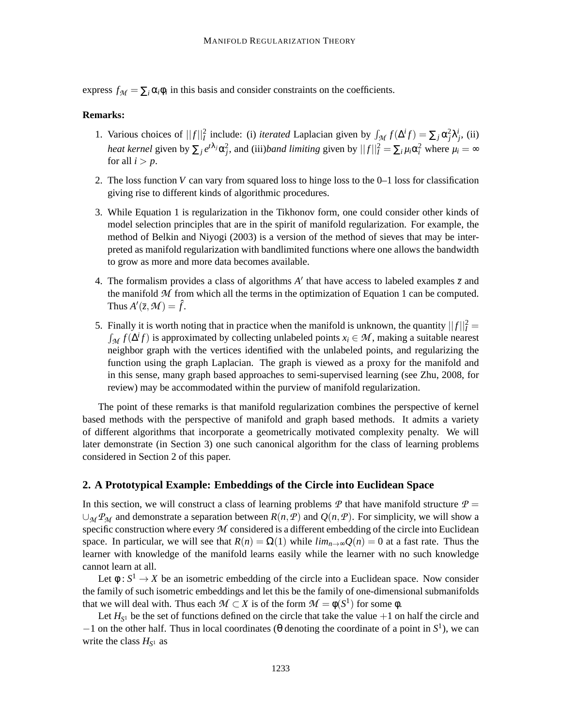express  $f_{\mathcal{M}} = \sum_i \alpha_i \phi_i$  in this basis and consider constraints on the coefficients.

# **Remarks:**

- 1. Various choices of  $||f||_I^2$  include: (i) *iterated* Laplacian given by  $\int_M f(\Delta^i f) = \sum_j \alpha_j^2 \lambda_j^i$ , (ii) *heat kernel* given by  $\sum_j e^{t\lambda_j} \alpha_j^2$ , and (iii)*band limiting* given by  $||f||_I^2 = \sum_i \mu_i \alpha_i^2$  where  $\mu_i = \infty$ for all  $i > p$ .
- 2. The loss function *V* can vary from squared loss to hinge loss to the 0–1 loss for classification giving rise to different kinds of algorithmic procedures.
- 3. While Equation 1 is regularization in the Tikhonov form, one could consider other kinds of model selection principles that are in the spirit of manifold regularization. For example, the method of Belkin and Niyogi (2003) is a version of the method of sieves that may be interpreted as manifold regularization with bandlimited functions where one allows the bandwidth to grow as more and more data becomes available.
- 4. The formalism provides a class of algorithms  $A'$  that have access to labeled examples  $\overline{z}$  and the manifold  $M$  from which all the terms in the optimization of Equation 1 can be computed. Thus  $A'(\overline{z}, \mathcal{M}) = \hat{f}$ .
- 5. Finally it is worth noting that in practice when the manifold is unknown, the quantity  $||f||_I^2 =$  $\int_{\mathcal{M}} f(\Delta^i f)$  is approximated by collecting unlabeled points  $x_i \in \mathcal{M}$ , making a suitable nearest neighbor graph with the vertices identified with the unlabeled points, and regularizing the function using the graph Laplacian. The graph is viewed as a proxy for the manifold and in this sense, many graph based approaches to semi-supervised learning (see Zhu, 2008, for review) may be accommodated within the purview of manifold regularization.

The point of these remarks is that manifold regularization combines the perspective of kernel based methods with the perspective of manifold and graph based methods. It admits a variety of different algorithms that incorporate a geometrically motivated complexity penalty. We will later demonstrate (in Section 3) one such canonical algorithm for the class of learning problems considered in Section 2 of this paper.

## **2. A Prototypical Example: Embeddings of the Circle into Euclidean Space**

In this section, we will construct a class of learning problems  $\mathcal P$  that have manifold structure  $\mathcal P$  =  $∪_{\mathcal{M}} P_{\mathcal{M}}$  and demonstrate a separation between  $R(n, P)$  and  $Q(n, P)$ . For simplicity, we will show a specific construction where every *M* considered is a different embedding of the circle into Euclidean space. In particular, we will see that  $R(n) = \Omega(1)$  while  $\lim_{n\to\infty} Q(n) = 0$  at a fast rate. Thus the learner with knowledge of the manifold learns easily while the learner with no such knowledge cannot learn at all.

Let  $\phi: S^1 \to X$  be an isometric embedding of the circle into a Euclidean space. Now consider the family of such isometric embeddings and let this be the family of one-dimensional submanifolds that we will deal with. Thus each  $M \subset X$  is of the form  $M = \phi(S^1)$  for some  $\phi$ .

Let  $H_{S^1}$  be the set of functions defined on the circle that take the value  $+1$  on half the circle and  $-1$  on the other half. Thus in local coordinates ( $\theta$  denoting the coordinate of a point in  $S^1$ ), we can write the class  $H_{S^1}$  as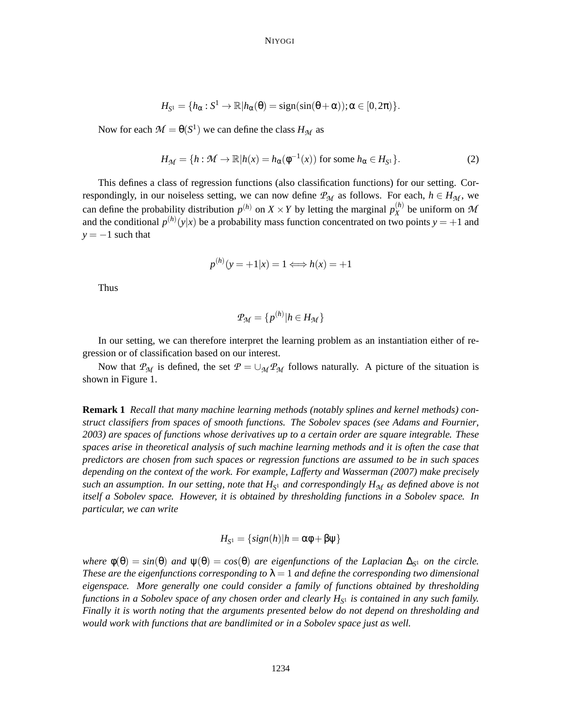$$
H_{S^1} = \{h_\alpha: S^1 \to \mathbb{R} | h_\alpha(\theta) = sign(sin(\theta + \alpha)) ; \alpha \in [0, 2\pi)\}.
$$

Now for each  $\mathcal{M} = \Theta(S^1)$  we can define the class  $H_{\mathcal{M}}$  as

$$
H_{\mathcal{M}} = \{ h : \mathcal{M} \to \mathbb{R} | h(x) = h_{\alpha}(\phi^{-1}(x)) \text{ for some } h_{\alpha} \in H_{S^1} \}. \tag{2}
$$

This defines a class of regression functions (also classification functions) for our setting. Correspondingly, in our noiseless setting, we can now define  $P_M$  as follows. For each,  $h \in H_M$ , we can define the probability distribution  $p^{(h)}$  on  $X \times Y$  by letting the marginal  $p_X^{(h)}$  $\chi^{(h)}$  be uniform on  $M$ and the conditional  $p^{(h)}(y|x)$  be a probability mass function concentrated on two points  $y = +1$  and  $y = -1$  such that

$$
p^{(h)}(y = +1|x) = 1 \Longleftrightarrow h(x) = +1
$$

Thus

$$
P_{\mathcal{M}} = \{p^{(h)} | h \in H_{\mathcal{M}}\}
$$

In our setting, we can therefore interpret the learning problem as an instantiation either of regression or of classification based on our interest.

Now that  $P_M$  is defined, the set  $P = \bigcup_M P_M$  follows naturally. A picture of the situation is shown in Figure 1.

**Remark 1** *Recall that many machine learning methods (notably splines and kernel methods) construct classifiers from spaces of smooth functions. The Sobolev spaces (see Adams and Fournier, 2003) are spaces of functions whose derivatives up to a certain order are square integrable. These spaces arise in theoretical analysis of such machine learning methods and it is often the case that predictors are chosen from such spaces or regression functions are assumed to be in such spaces depending on the context of the work. For example, Lafferty and Wasserman (2007) make precisely such an assumption. In our setting, note that H<sup>S</sup>* <sup>1</sup> *and correspondingly HM as defined above is not itself a Sobolev space. However, it is obtained by thresholding functions in a Sobolev space. In particular, we can write*

$$
H_{S^1} = \{ sign(h) | h = \alpha \phi + \beta \psi \}
$$

 $where \phi(\theta) = sin(\theta)$  *and*  $\psi(\theta) = cos(\theta)$  *are eigenfunctions of the Laplacian*  $\Delta_{S^1}$  *on the circle. These are the eigenfunctions corresponding to*  $\lambda = 1$  *and define the corresponding two dimensional eigenspace. More generally one could consider a family of functions obtained by thresholding functions in a Sobolev space of any chosen order and clearly H<sup>S</sup>* <sup>1</sup> *is contained in any such family. Finally it is worth noting that the arguments presented below do not depend on thresholding and would work with functions that are bandlimited or in a Sobolev space just as well.*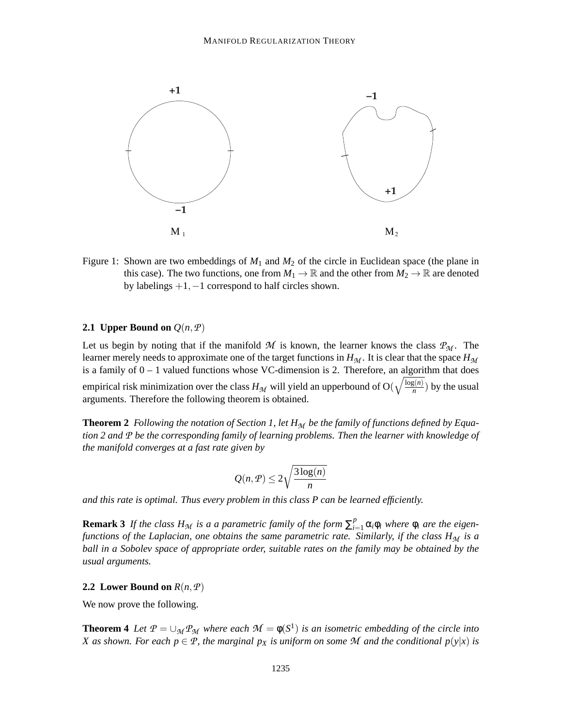

Figure 1: Shown are two embeddings of *M*<sup>1</sup> and *M*<sup>2</sup> of the circle in Euclidean space (the plane in this case). The two functions, one from  $M_1 \to \mathbb{R}$  and the other from  $M_2 \to \mathbb{R}$  are denoted by labelings  $+1$ ,  $-1$  correspond to half circles shown.

# **2.1 Upper Bound on**  $Q(n, P)$

Let us begin by noting that if the manifold *M* is known, the learner knows the class  $P_M$ . The learner merely needs to approximate one of the target functions in  $H<sub>M</sub>$ . It is clear that the space  $H<sub>M</sub>$ is a family of  $0 - 1$  valued functions whose VC-dimension is 2. Therefore, an algorithm that does empirical risk minimization over the class  $H_{\mathcal{M}}$  will yield an upperbound of O( $\sqrt{\frac{\log(n)}{n}}$  $\frac{g(n)}{n}$ ) by the usual arguments. Therefore the following theorem is obtained.

**Theorem 2** *Following the notation of Section 1, let HM be the family of functions defined by Equation 2 and P be the corresponding family of learning problems. Then the learner with knowledge of the manifold converges at a fast rate given by*

$$
Q(n, P) \le 2\sqrt{\frac{3\log(n)}{n}}
$$

*and this rate is optimal. Thus every problem in this class P can be learned efficiently.*

**Remark 3** If the class  $H_M$  is a a parametric family of the form  $\sum_{i=1}^p \alpha_i \phi_i$  where  $\phi_i$  are the eigen*functions of the Laplacian, one obtains the same parametric rate. Similarly, if the class HM is a ball in a Sobolev space of appropriate order, suitable rates on the family may be obtained by the usual arguments.*

## **2.2 Lower Bound on**  $R(n, P)$

We now prove the following.

**Theorem 4** *Let*  $P = \bigcup_{\mathcal{M}} P_{\mathcal{M}}$  *where each*  $\mathcal{M} = \phi(S^1)$  *is an isometric embedding of the circle into X* as shown. For each  $p \in \mathcal{P}$ , the marginal  $p_X$  is uniform on some  $\mathcal M$  and the conditional  $p(y|x)$  is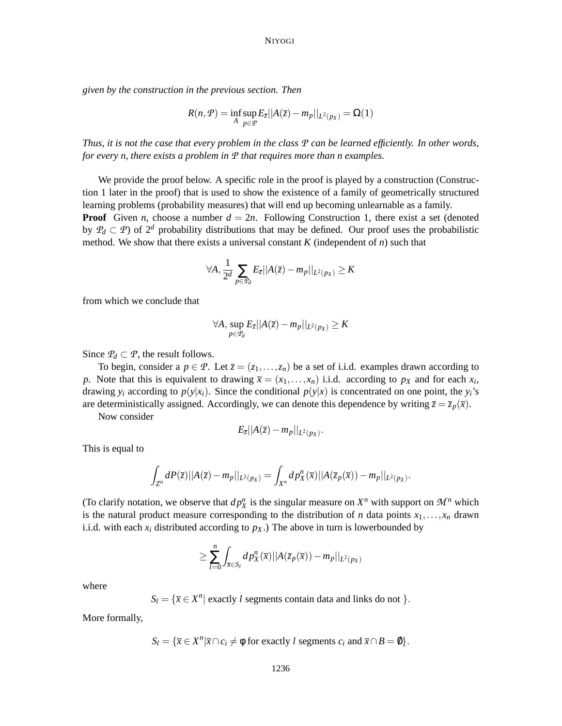*given by the construction in the previous section. Then*

$$
R(n, \mathcal{P}) = \inf_{A} \sup_{p \in \mathcal{P}} E_{\overline{z}} ||A(\overline{z}) - m_p||_{L^2(p_X)} = \Omega(1)
$$

*Thus, it is not the case that every problem in the class P can be learned efficiently. In other words, for every n, there exists a problem in P that requires more than n examples.*

We provide the proof below. A specific role in the proof is played by a construction (Construction 1 later in the proof) that is used to show the existence of a family of geometrically structured learning problems (probability measures) that will end up becoming unlearnable as a family. **Proof** Given *n*, choose a number  $d = 2n$ . Following Construction 1, there exist a set (denoted by  $P_d \,\subset \, \mathcal{P}$ ) of  $2^d$  probability distributions that may be defined. Our proof uses the probabilistic method. We show that there exists a universal constant  $K$  (independent of  $n$ ) such that

$$
\forall A, \frac{1}{2^d} \sum_{p \in \mathcal{P}_d} E_{\overline{z}} || A(\overline{z}) - m_p ||_{L^2(p_X)} \ge K
$$

from which we conclude that

$$
\forall A, \sup_{p \in \mathcal{P}_d} E_{\overline{z}} || A(\overline{z}) - m_p ||_{L^2(p_X)} \ge K
$$

Since  $\mathcal{P}_d \subset \mathcal{P}$ , the result follows.

To begin, consider a  $p \in \mathcal{P}$ . Let  $\overline{z} = (z_1, \ldots, z_n)$  be a set of i.i.d. examples drawn according to *p*. Note that this is equivalent to drawing  $\bar{x} = (x_1, \ldots, x_n)$  i.i.d. according to  $p_X$  and for each  $x_i$ , drawing  $y_i$  according to  $p(y|x_i)$ . Since the conditional  $p(y|x)$  is concentrated on one point, the  $y_i$ 's are deterministically assigned. Accordingly, we can denote this dependence by writing  $\overline{z} = \overline{z}_p(\overline{x})$ .

Now consider

$$
E_{\overline{z}}||A(\overline{z})-m_p||_{L^2(p_X)}.
$$

This is equal to

$$
\int_{Z^n} dP(\bar{z}) ||A(\bar{z}) - m_p||_{L^2(p_X)} = \int_{X^n} d p_X^n(\bar{x}) ||A(\bar{z}_p(\bar{x})) - m_p||_{L^2(p_X)}.
$$

(To clarify notation, we observe that  $dp_X^n$  is the singular measure on  $X^n$  with support on  $\mathcal{M}^n$  which is the natural product measure corresponding to the distribution of *n* data points  $x_1, \ldots, x_n$  drawn i.i.d. with each  $x_i$  distributed according to  $p_X$ .) The above in turn is lowerbounded by

$$
\geq \sum_{l=0}^n \int_{\overline{x}\in S_l} dp_X^n(\overline{x}) ||A(\overline{z}_p(\overline{x})) - m_p||_{L^2(p_X)}
$$

where

$$
S_l = {\overline{x} \in X^n |
$$
 exactly l segments contain data and links do not }.

More formally,

$$
S_l = \{ \overline{x} \in X^n | \overline{x} \cap c_i \neq \emptyset \text{ for exactly } l \text{ segments } c_i \text{ and } \overline{x} \cap B = \emptyset \}.
$$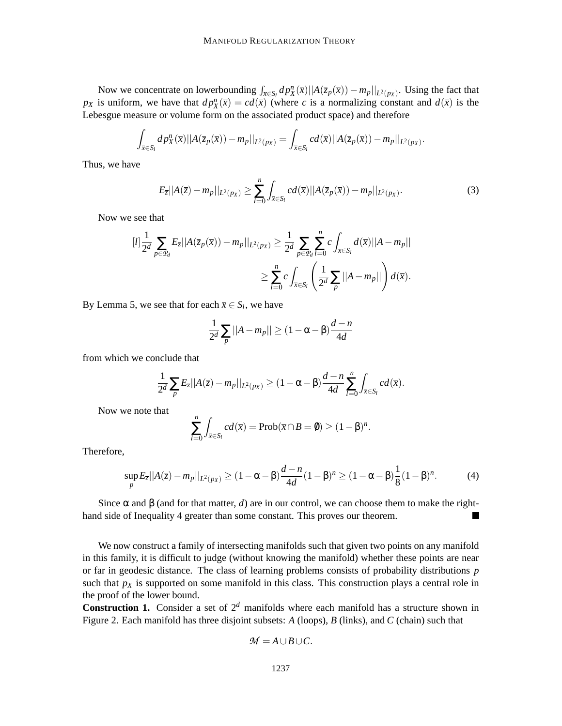Now we concentrate on lowerbounding  $\int_{\overline{x}} \epsilon_{S_l} dp_X^n(\overline{x}) ||A(\overline{z}_p(\overline{x})) - m_p||_{L^2(p_X)}$ . Using the fact that *px* is uniform, we have that  $dp_X^n(\bar{x}) = cd(\bar{x})$  (where *c* is a normalizing constant and  $d(\bar{x})$  is the Lebesgue measure or volume form on the associated product space) and therefore

$$
\int_{\overline{x}\in S_l} dp_X^n(\overline{x})||A(\overline{z}_p(\overline{x})) - m_p||_{L^2(p_X)} = \int_{\overline{x}\in S_l} cd(\overline{x})||A(\overline{z}_p(\overline{x})) - m_p||_{L^2(p_X)}.
$$

Thus, we have

$$
E_{\bar{z}}||A(\bar{z}) - m_p||_{L^2(p_X)} \ge \sum_{l=0}^n \int_{\bar{x} \in S_l} cd(\bar{x}) ||A(\bar{z}_p(\bar{x})) - m_p||_{L^2(p_X)}.
$$
 (3)

Now we see that

$$
[l]\frac{1}{2^d}\sum_{p\in\mathcal{P}_d}E_{\overline{z}}||A(\overline{z}_p(\overline{x})) - m_p||_{L^2(p_X)} \ge \frac{1}{2^d}\sum_{p\in\mathcal{P}_d}\sum_{l=0}^n c\int_{\overline{x}\in S_l}d(\overline{x})||A - m_p||
$$
  

$$
\ge \sum_{l=0}^n c\int_{\overline{x}\in S_l}\left(\frac{1}{2^d}\sum_p||A - m_p||\right)d(\overline{x}).
$$

By Lemma 5, we see that for each  $\bar{x} \in S_l$ , we have

$$
\frac{1}{2^d} \sum_p ||A - m_p|| \ge (1 - \alpha - \beta) \frac{d - n}{4d}
$$

from which we conclude that

$$
\frac{1}{2^d} \sum_p E_{\overline{z}} ||A(\overline{z}) - m_p||_{L^2(p_X)} \ge (1 - \alpha - \beta) \frac{d - n}{4d} \sum_{l=0}^n \int_{\overline{x} \in S_l} c d(\overline{x}).
$$

Now we note that

$$
\sum_{l=0}^n \int_{\bar{x} \in S_l} c d(\bar{x}) = \text{Prob}(\bar{x} \cap B = \emptyset) \ge (1 - \beta)^n.
$$

Therefore,

$$
\sup_{p} E_{\overline{z}} ||A(\overline{z}) - m_{p}||_{L^{2}(p_{X})} \ge (1 - \alpha - \beta) \frac{d - n}{4d} (1 - \beta)^{n} \ge (1 - \alpha - \beta) \frac{1}{8} (1 - \beta)^{n}.
$$
 (4)

Since  $\alpha$  and  $\beta$  (and for that matter, *d*) are in our control, we can choose them to make the righthand side of Inequality 4 greater than some constant. This proves our theorem.

We now construct a family of intersecting manifolds such that given two points on any manifold in this family, it is difficult to judge (without knowing the manifold) whether these points are near or far in geodesic distance. The class of learning problems consists of probability distributions *p* such that  $p_X$  is supported on some manifold in this class. This construction plays a central role in the proof of the lower bound.

**Construction 1.** Consider a set of  $2^d$  manifolds where each manifold has a structure shown in Figure 2. Each manifold has three disjoint subsets: *A* (loops), *B* (links), and *C* (chain) such that

$$
\mathcal{M}=A\cup B\cup C.
$$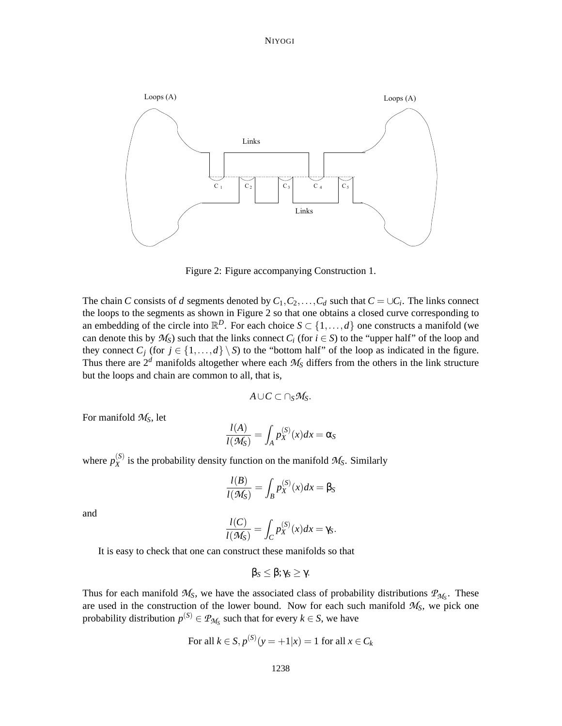

Figure 2: Figure accompanying Construction 1.

The chain *C* consists of *d* segments denoted by  $C_1, C_2, \ldots, C_d$  such that  $C = \cup C_i$ . The links connect the loops to the segments as shown in Figure 2 so that one obtains a closed curve corresponding to an embedding of the circle into  $\mathbb{R}^D$ . For each choice  $S \subset \{1, ..., d\}$  one constructs a manifold (we can denote this by  $M_S$ ) such that the links connect  $C_i$  (for  $i \in S$ ) to the "upper half" of the loop and they connect  $C_j$  (for  $j \in \{1, ..., d\} \setminus S$ ) to the "bottom half" of the loop as indicated in the figure. Thus there are  $2^d$  manifolds altogether where each  $M_S$  differs from the others in the link structure but the loops and chain are common to all, that is,

$$
A\cup C\subset \cap_S \mathcal{M}_S.
$$

For manifold *MS*, let

$$
\frac{l(A)}{l(\mathcal{M}_S)} = \int_A p_X^{(S)}(x) dx = \alpha_S
$$

where  $p_X^{(S)}$  $\chi^{(S)}$  is the probability density function on the manifold  $\mathcal{M}_S$ . Similarly

$$
\frac{l(B)}{l(\mathcal{M}_S)} = \int_B p_X^{(S)}(x) dx = \beta_S
$$

and

$$
\frac{l(C)}{l(\mathcal{M}_S)} = \int_C p_X^{(S)}(x) dx = \gamma_S.
$$

It is easy to check that one can construct these manifolds so that

$$
\beta_S \leq \beta; \gamma_S \geq \gamma.
$$

Thus for each manifold  $M_S$ , we have the associated class of probability distributions  $P_{M_S}$ . These are used in the construction of the lower bound. Now for each such manifold  $M<sub>S</sub>$ , we pick one probability distribution  $p^{(S)} \in \mathcal{P}_{\mathcal{M}_S}$  such that for every  $k \in S$ , we have

For all 
$$
k \in S
$$
,  $p^{(S)}(y = +1|x) = 1$  for all  $x \in C_k$ 

 $\overline{\phantom{a}}$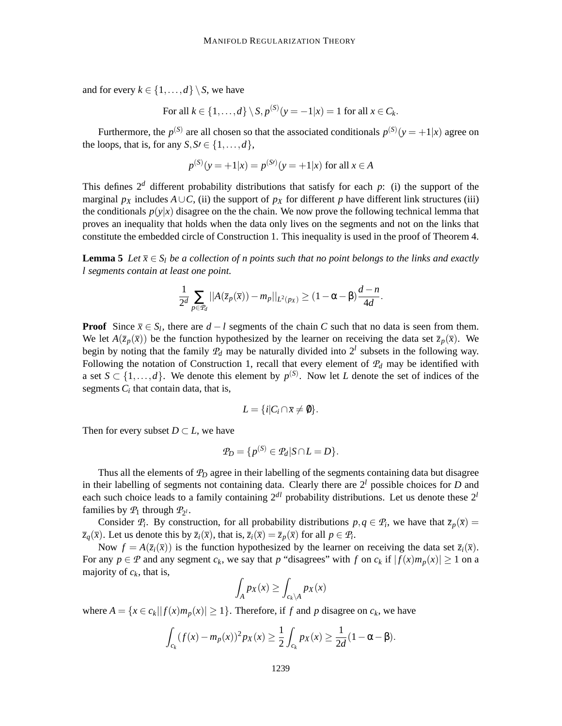and for every  $k \in \{1, ..., d\} \setminus S$ , we have

For all 
$$
k \in \{1, ..., d\} \setminus S
$$
,  $p^{(S)}(y = -1 | x) = 1$  for all  $x \in C_k$ .

Furthermore, the  $p^{(S)}$  are all chosen so that the associated conditionals  $p^{(S)}(y = +1|x)$  agree on the loops, that is, for any  $S, S' \in \{1, \ldots, d\}$ ,

$$
p^{(S)}(y = +1|x) = p^{(S)}(y = +1|x)
$$
 for all  $x \in A$ 

This defines  $2^d$  different probability distributions that satisfy for each *p*: (i) the support of the marginal  $p_X$  includes  $A \cup C$ , (ii) the support of  $p_X$  for different *p* have different link structures (iii) the conditionals  $p(y|x)$  disagree on the the chain. We now prove the following technical lemma that proves an inequality that holds when the data only lives on the segments and not on the links that constitute the embedded circle of Construction 1. This inequality is used in the proof of Theorem 4.

**Lemma 5** Let  $\bar{x} \in S_l$  be a collection of n points such that no point belongs to the links and exactly *l segments contain at least one point.*

$$
\frac{1}{2^d}\sum_{p\in\mathcal{P}_d}||A(\overline{z}_p(\overline{x})) - m_p||_{L^2(p_X)} \geq (1-\alpha-\beta)\frac{d-n}{4d}.
$$

**Proof** Since  $\bar{x} \in S_l$ , there are  $d - l$  segments of the chain *C* such that no data is seen from them. We let  $A(\overline{z}_p(\overline{x}))$  be the function hypothesized by the learner on receiving the data set  $\overline{z}_p(\overline{x})$ . We begin by noting that the family  $P_d$  may be naturally divided into  $2^l$  subsets in the following way. Following the notation of Construction 1, recall that every element of  $P_d$  may be identified with a set  $S \subset \{1, ..., d\}$ . We denote this element by  $p^{(S)}$ . Now let *L* denote the set of indices of the segments  $C_i$  that contain data, that is,

$$
L = \{i | C_i \cap \overline{x} \neq \emptyset\}.
$$

Then for every subset  $D \subset L$ , we have

$$
\mathcal{P}_D = \{p^{(S)} \in \mathcal{P}_d | S \cap L = D\}.
$$

Thus all the elements of *P<sup>D</sup>* agree in their labelling of the segments containing data but disagree in their labelling of segments not containing data. Clearly there are  $2<sup>l</sup>$  possible choices for *D* and each such choice leads to a family containing  $2^{dl}$  probability distributions. Let us denote these  $2^l$ families by  $P_1$  through  $P_{2^l}$ .

Consider  $P_i$ . By construction, for all probability distributions  $p, q \in P_i$ , we have that  $\overline{z}_p(\overline{x}) =$  $\overline{z}_q(\overline{x})$ . Let us denote this by  $\overline{z}_i(\overline{x})$ , that is,  $\overline{z}_i(\overline{x}) = \overline{z}_p(\overline{x})$  for all  $p \in \mathcal{P}_i$ .

Now  $f = A(\overline{z}_i(\overline{x}))$  is the function hypothesized by the learner on receiving the data set  $\overline{z}_i(\overline{x})$ . For any  $p \in \mathcal{P}$  and any segment  $c_k$ , we say that p "disagrees" with f on  $c_k$  if  $|f(x)m_p(x)| \ge 1$  on a majority of  $c_k$ , that is,

$$
\int_A px(x) \ge \int_{c_k \setminus A} px(x)
$$

where  $A = \{x \in c_k | |f(x)m_p(x)| \ge 1\}$ . Therefore, if f and p disagree on  $c_k$ , we have

$$
\int_{c_k} (f(x) - m_p(x))^2 p_X(x) \ge \frac{1}{2} \int_{c_k} p_X(x) \ge \frac{1}{2d} (1 - \alpha - \beta).
$$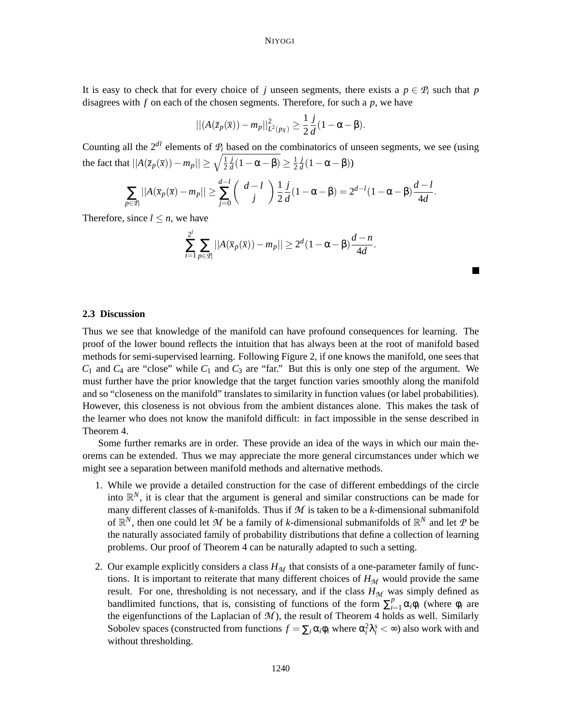It is easy to check that for every choice of *j* unseen segments, there exists a  $p \in P_i$  such that *p* disagrees with *f* on each of the chosen segments. Therefore, for such a *p*, we have

$$
||(A(\overline{z}_p(\overline{x})) - m_p||_{L^2(p_X)}^2 \ge \frac{1}{2}\frac{j}{d}(1 - \alpha - \beta).
$$

Counting all the  $2^{dl}$  elements of  $P_i$  based on the combinatorics of unseen segments, we see (using the fact that  $||A(\overline{z}_p(\overline{x})) - m_p|| \ge \sqrt{\frac{1}{2}}$ 2 *j*  $\frac{j}{d}(1-\alpha-\beta) \geq \frac{1}{2}$ 2 *j*  $\frac{J}{d}(1-\alpha-\beta)$ )

$$
\sum_{p \in \mathcal{P}_i} ||A(\overline{x}_p(\overline{x}) - m_p|| \ge \sum_{j=0}^{d-l} \binom{d-l}{j} \frac{1}{2} \frac{j}{d} (1 - \alpha - \beta) = 2^{d-l} (1 - \alpha - \beta) \frac{d-l}{4d}.
$$

Therefore, since  $l \leq n$ , we have

$$
\sum_{i=1}^{2^l} \sum_{p \in \mathcal{P}_i} ||A(\overline{x}_p(\overline{x})) - m_p|| \ge 2^d (1 - \alpha - \beta) \frac{d - n}{4d}.
$$

### **2.3 Discussion**

Thus we see that knowledge of the manifold can have profound consequences for learning. The proof of the lower bound reflects the intuition that has always been at the root of manifold based methods for semi-supervised learning. Following Figure 2, if one knows the manifold, one sees that  $C_1$  and  $C_4$  are "close" while  $C_1$  and  $C_3$  are "far." But this is only one step of the argument. We must further have the prior knowledge that the target function varies smoothly along the manifold and so "closeness on the manifold" translates to similarity in function values (or label probabilities). However, this closeness is not obvious from the ambient distances alone. This makes the task of the learner who does not know the manifold difficult: in fact impossible in the sense described in Theorem 4.

Some further remarks are in order. These provide an idea of the ways in which our main theorems can be extended. Thus we may appreciate the more general circumstances under which we might see a separation between manifold methods and alternative methods.

- 1. While we provide a detailed construction for the case of different embeddings of the circle into  $\mathbb{R}^N$ , it is clear that the argument is general and similar constructions can be made for many different classes of *k*-manifolds. Thus if *M* is taken to be a *k*-dimensional submanifold of  $\mathbb{R}^N$ , then one could let M be a family of *k*-dimensional submanifolds of  $\mathbb{R}^N$  and let P be the naturally associated family of probability distributions that define a collection of learning problems. Our proof of Theorem 4 can be naturally adapted to such a setting.
- 2. Our example explicitly considers a class  $H_M$  that consists of a one-parameter family of functions. It is important to reiterate that many different choices of  $H<sub>M</sub>$  would provide the same result. For one, thresholding is not necessary, and if the class  $H_M$  was simply defined as bandlimited functions, that is, consisting of functions of the form  $\sum_{i=1}^{p} \alpha_i \phi_i$  (where  $\phi_i$  are the eigenfunctions of the Laplacian of  $M$ ), the result of Theorem 4 holds as well. Similarly Sobolev spaces (constructed from functions  $f = \sum_i \alpha_i \phi_i$  where  $\alpha_i^2 \lambda_i^s < \infty$ ) also work with and without thresholding.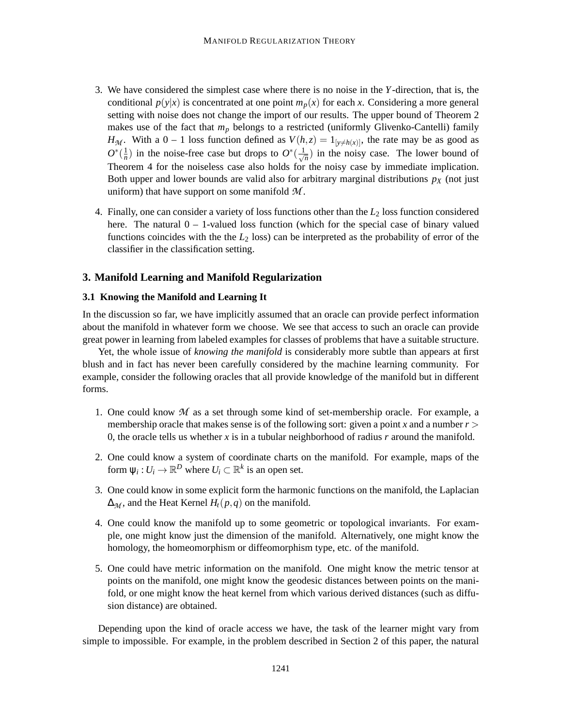- 3. We have considered the simplest case where there is no noise in the *Y*-direction, that is, the conditional  $p(y|x)$  is concentrated at one point  $m_p(x)$  for each *x*. Considering a more general setting with noise does not change the import of our results. The upper bound of Theorem 2 makes use of the fact that *m<sup>p</sup>* belongs to a restricted (uniformly Glivenko-Cantelli) family *H*<sub>M</sub>. With a 0 – 1 loss function defined as  $V(h, z) = 1_{y \neq h(x)}$ , the rate may be as good as  $O^*(\frac{1}{n})$  $\frac{1}{n}$ ) in the noise-free case but drops to  $O^*(\frac{1}{\sqrt{n}})$  $\frac{1}{n}$ ) in the noisy case. The lower bound of Theorem 4 for the noiseless case also holds for the noisy case by immediate implication. Both upper and lower bounds are valid also for arbitrary marginal distributions  $p<sub>X</sub>$  (not just uniform) that have support on some manifold *M* .
- 4. Finally, one can consider a variety of loss functions other than the *L*<sup>2</sup> loss function considered here. The natural  $0 - 1$ -valued loss function (which for the special case of binary valued functions coincides with the the *L*<sup>2</sup> loss) can be interpreted as the probability of error of the classifier in the classification setting.

# **3. Manifold Learning and Manifold Regularization**

# **3.1 Knowing the Manifold and Learning It**

In the discussion so far, we have implicitly assumed that an oracle can provide perfect information about the manifold in whatever form we choose. We see that access to such an oracle can provide great power in learning from labeled examples for classes of problems that have a suitable structure.

Yet, the whole issue of *knowing the manifold* is considerably more subtle than appears at first blush and in fact has never been carefully considered by the machine learning community. For example, consider the following oracles that all provide knowledge of the manifold but in different forms.

- 1. One could know *M* as a set through some kind of set-membership oracle. For example, a membership oracle that makes sense is of the following sort: given a point *x* and a number  $r >$ 0, the oracle tells us whether *x* is in a tubular neighborhood of radius *r* around the manifold.
- 2. One could know a system of coordinate charts on the manifold. For example, maps of the form  $\psi_i: U_i \to \mathbb{R}^D$  where  $U_i \subset \mathbb{R}^k$  is an open set.
- 3. One could know in some explicit form the harmonic functions on the manifold, the Laplacian  $\Delta_{\mathcal{M}}$ , and the Heat Kernel  $H_t(p,q)$  on the manifold.
- 4. One could know the manifold up to some geometric or topological invariants. For example, one might know just the dimension of the manifold. Alternatively, one might know the homology, the homeomorphism or diffeomorphism type, etc. of the manifold.
- 5. One could have metric information on the manifold. One might know the metric tensor at points on the manifold, one might know the geodesic distances between points on the manifold, or one might know the heat kernel from which various derived distances (such as diffusion distance) are obtained.

Depending upon the kind of oracle access we have, the task of the learner might vary from simple to impossible. For example, in the problem described in Section 2 of this paper, the natural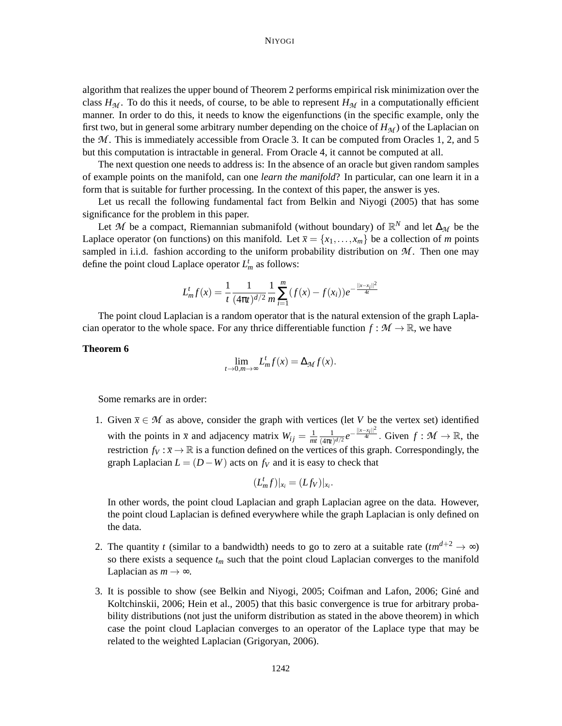algorithm that realizes the upper bound of Theorem 2 performs empirical risk minimization over the class  $H_M$ . To do this it needs, of course, to be able to represent  $H_M$  in a computationally efficient manner. In order to do this, it needs to know the eigenfunctions (in the specific example, only the first two, but in general some arbitrary number depending on the choice of  $H<sub>M</sub>$ ) of the Laplacian on the *M* . This is immediately accessible from Oracle 3. It can be computed from Oracles 1, 2, and 5 but this computation is intractable in general. From Oracle 4, it cannot be computed at all.

The next question one needs to address is: In the absence of an oracle but given random samples of example points on the manifold, can one *learn the manifold*? In particular, can one learn it in a form that is suitable for further processing. In the context of this paper, the answer is yes.

Let us recall the following fundamental fact from Belkin and Niyogi (2005) that has some significance for the problem in this paper.

Let *M* be a compact, Riemannian submanifold (without boundary) of  $\mathbb{R}^N$  and let  $\Delta_{\mathcal{M}}$  be the Laplace operator (on functions) on this manifold. Let  $\bar{x} = \{x_1, \ldots, x_m\}$  be a collection of *m* points sampled in i.i.d. fashion according to the uniform probability distribution on  $M$ . Then one may define the point cloud Laplace operator  $L_m^t$  as follows:

$$
L_m^t f(x) = \frac{1}{t} \frac{1}{(4\pi t)^{d/2}} \frac{1}{m} \sum_{i=1}^m (f(x) - f(x_i)) e^{-\frac{||x - x_i||^2}{4t}}
$$

The point cloud Laplacian is a random operator that is the natural extension of the graph Laplacian operator to the whole space. For any thrice differentiable function  $f : \mathcal{M} \to \mathbb{R}$ , we have

## **Theorem 6**

$$
\lim_{t \to 0, m \to \infty} L_m^t f(x) = \Delta_{\mathcal{M}} f(x).
$$

Some remarks are in order:

1. Given  $\bar{x} \in \mathcal{M}$  as above, consider the graph with vertices (let *V* be the vertex set) identified with the points in  $\bar{x}$  and adjacency matrix  $W_{ij} = \frac{1}{m}$ *mt* 1  $\frac{1}{(4\pi t)^{d/2}}e^{-\frac{||x-x_i||^2}{4t}}$ . Given  $f : \mathcal{M} \to \mathbb{R}$ , the restriction  $f_V : \overline{x} \to \mathbb{R}$  is a function defined on the vertices of this graph. Correspondingly, the graph Laplacian  $L = (D - W)$  acts on  $f_V$  and it is easy to check that

$$
(L_m^t f)|_{x_i}=(Lf_V)|_{x_i}.
$$

In other words, the point cloud Laplacian and graph Laplacian agree on the data. However, the point cloud Laplacian is defined everywhere while the graph Laplacian is only defined on the data.

- 2. The quantity *t* (similar to a bandwidth) needs to go to zero at a suitable rate  $(tm^{d+2} \rightarrow \infty)$ so there exists a sequence  $t_m$  such that the point cloud Laplacian converges to the manifold Laplacian as  $m \to \infty$ .
- 3. It is possible to show (see Belkin and Niyogi, 2005; Coifman and Lafon, 2006; Gine and ´ Koltchinskii, 2006; Hein et al., 2005) that this basic convergence is true for arbitrary probability distributions (not just the uniform distribution as stated in the above theorem) in which case the point cloud Laplacian converges to an operator of the Laplace type that may be related to the weighted Laplacian (Grigoryan, 2006).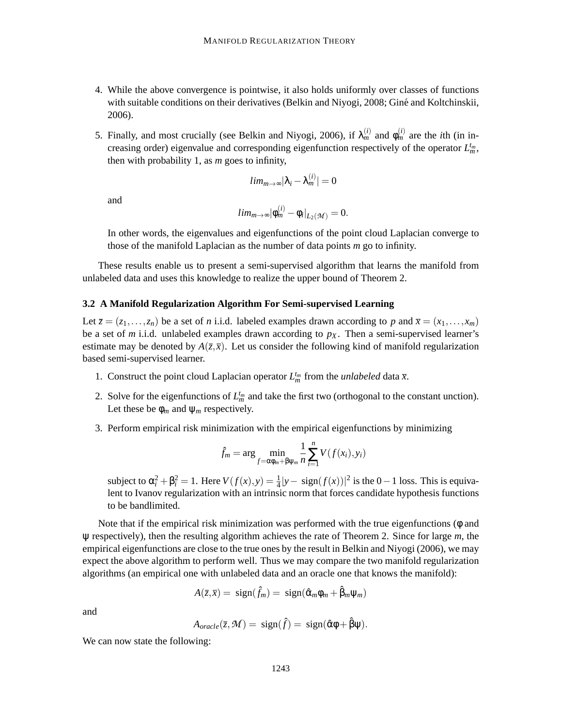- 4. While the above convergence is pointwise, it also holds uniformly over classes of functions with suitable conditions on their derivatives (Belkin and Niyogi, 2008; Gine and Koltchinskii, 2006).
- 5. Finally, and most crucially (see Belkin and Niyogi, 2006), if  $\lambda_m^{(i)}$  and  $\phi_m^{(i)}$  are the *i*th (in increasing order) eigenvalue and corresponding eigenfunction respectively of the operator  $L_m^{t_m}$ , then with probability 1, as *m* goes to infinity,

$$
lim_{m\to\infty}|\lambda_i-\lambda_m^{(i)}|=0
$$

and

$$
lim_{m\to\infty}|\phi_m^{(i)}-\phi_i|_{L_2(\mathcal{M})}=0.
$$

In other words, the eigenvalues and eigenfunctions of the point cloud Laplacian converge to those of the manifold Laplacian as the number of data points *m* go to infinity.

These results enable us to present a semi-supervised algorithm that learns the manifold from unlabeled data and uses this knowledge to realize the upper bound of Theorem 2.

#### **3.2 A Manifold Regularization Algorithm For Semi-supervised Learning**

Let  $\overline{z} = (z_1, \ldots, z_n)$  be a set of *n* i.i.d. labeled examples drawn according to *p* and  $\overline{x} = (x_1, \ldots, x_m)$ be a set of *m* i.i.d. unlabeled examples drawn according to  $p<sub>X</sub>$ . Then a semi-supervised learner's estimate may be denoted by  $A(\overline{z}, \overline{x})$ . Let us consider the following kind of manifold regularization based semi-supervised learner.

- 1. Construct the point cloud Laplacian operator  $L_m^{t_m}$  from the *unlabeled* data  $\bar{x}$ .
- 2. Solve for the eigenfunctions of  $L_m^{t_m}$  and take the first two (orthogonal to the constant unction). Let these be  $\phi_m$  and  $\psi_m$  respectively.
- 3. Perform empirical risk minimization with the empirical eigenfunctions by minimizing

$$
\hat{f}_m = \arg \min_{f = \alpha \phi_m + \beta \psi_m} \frac{1}{n} \sum_{i=1}^n V(f(x_i), y_i)
$$

subject to  $\alpha_i^2 + \beta_i^2 = 1$ . Here  $V(f(x), y) = \frac{1}{4}|y - \text{sign}(f(x))|^2$  is the 0−1 loss. This is equivalent to Ivanov regularization with an intrinsic norm that forces candidate hypothesis functions to be bandlimited.

Note that if the empirical risk minimization was performed with the true eigenfunctions (φ and ψ respectively), then the resulting algorithm achieves the rate of Theorem 2. Since for large *m*, the empirical eigenfunctions are close to the true ones by the result in Belkin and Niyogi (2006), we may expect the above algorithm to perform well. Thus we may compare the two manifold regularization algorithms (an empirical one with unlabeled data and an oracle one that knows the manifold):

$$
A(\bar{z}, \bar{x}) = sign(\hat{f}_m) = sign(\hat{\alpha}_m \phi_m + \hat{\beta}_m \psi_m)
$$

and

$$
A_{oracle}(\bar{z}, \mathcal{M}) = sign(\hat{f}) = sign(\hat{\alpha}\phi + \hat{\beta}\psi).
$$

We can now state the following: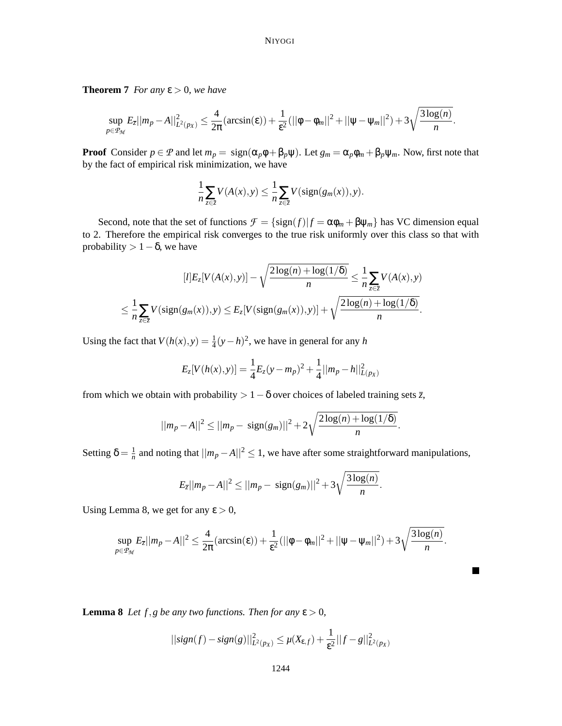**Theorem 7** *For any*  $\varepsilon > 0$ *, we have* 

$$
\sup_{p\in\mathcal{P}_{\mathcal{M}}} E_{\overline{z}}||m_p - A||_{L^2(p_X)}^2 \leq \frac{4}{2\pi}(\arcsin(\varepsilon)) + \frac{1}{\varepsilon^2} (||\phi - \phi_m||^2 + ||\psi - \psi_m||^2) + 3\sqrt{\frac{3\log(n)}{n}}.
$$

**Proof** Consider  $p \in \mathcal{P}$  and let  $m_p = \text{sign}(\alpha_p \phi + \beta_p \psi)$ . Let  $g_m = \alpha_p \phi_m + \beta_p \psi_m$ . Now, first note that by the fact of empirical risk minimization, we have

$$
\frac{1}{n}\sum_{z\in\overline{z}}V(A(x),y)\leq\frac{1}{n}\sum_{z\in\overline{z}}V(\mathrm{sign}(g_m(x)),y).
$$

Second, note that the set of functions  $\mathcal{F} = {\text{sign}(f)|f = \alpha \phi_m + \beta \psi_m}$  has VC dimension equal to 2. Therefore the empirical risk converges to the true risk uniformly over this class so that with probability  $> 1-\delta$ , we have

$$
[l]E_z[V(A(x),y)] - \sqrt{\frac{2\log(n) + \log(1/\delta)}{n}} \le \frac{1}{n} \sum_{z \in \overline{z}} V(A(x),y)
$$
  

$$
\le \frac{1}{n} \sum_{z \in \overline{z}} V(\text{sign}(g_m(x)),y) \le E_z[V(\text{sign}(g_m(x)),y)] + \sqrt{\frac{2\log(n) + \log(1/\delta)}{n}}.
$$

Using the fact that  $V(h(x), y) = \frac{1}{4}(y - h)^2$ , we have in general for any *h* 

$$
E_z[V(h(x),y)] = \frac{1}{4}E_z(y-m_p)^2 + \frac{1}{4}||m_p - h||^2_{L(p_X)}
$$

from which we obtain with probability  $> 1-\delta$  over choices of labeled training sets  $\overline{z}$ ,

$$
||m_p - A||^2 \le ||m_p - \text{sign}(g_m)||^2 + 2\sqrt{\frac{2\log(n) + \log(1/\delta)}{n}}.
$$

Setting  $\delta = \frac{1}{n}$  $\frac{1}{n}$  and noting that  $||m_p − A||^2 ≤ 1$ , we have after some straightforward manipulations,

$$
E_{\bar{z}}||m_p - A||^2 \leq ||m_p - \text{sign}(g_m)||^2 + 3\sqrt{\frac{3\log(n)}{n}}.
$$

Using Lemma 8, we get for any  $\varepsilon > 0$ ,

$$
\sup_{p\in\mathcal{P}_{\mathcal{M}}} E_{\overline{z}} ||m_p - A||^2 \leq \frac{4}{2\pi} (\arcsin(\varepsilon)) + \frac{1}{\varepsilon^2} (||\phi - \phi_m||^2 + ||\psi - \psi_m||^2) + 3\sqrt{\frac{3\log(n)}{n}}.
$$

 $\blacksquare$ 

**Lemma 8** *Let*  $f$ *,g be any two functions. Then for any*  $\epsilon$  > 0*,* 

$$
||sign(f) - sign(g)||_{L^{2}(px)}^{2} \leq \mu(X_{\varepsilon,f}) + \frac{1}{\varepsilon^{2}}||f - g||_{L^{2}(px)}^{2}
$$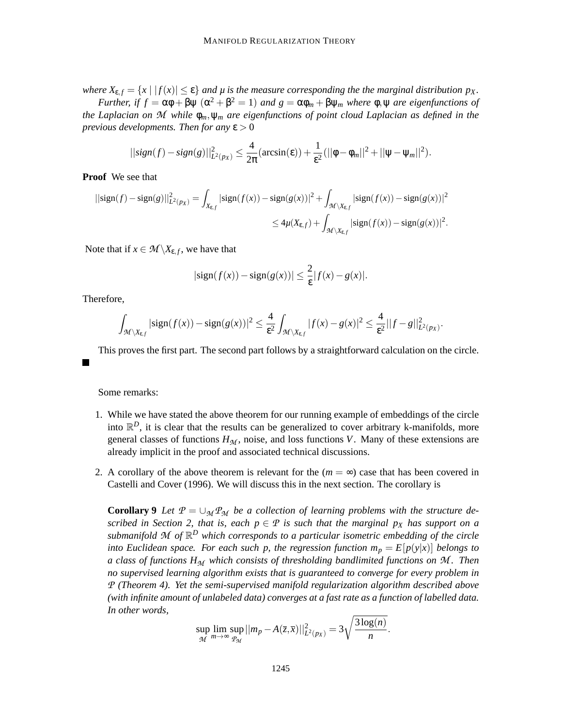*where*  $X_{\epsilon, f} = \{x \mid |f(x)| \leq \epsilon\}$  *and*  $\mu$  *is the measure corresponding the the marginal distribution*  $p_X$ *.* 

*Further, if*  $f = \alpha \phi + \beta \psi$   $(\alpha^2 + \beta^2 = 1)$  *and*  $g = \alpha \phi_m + \beta \psi_m$  *where*  $\phi$ *,*  $\psi$  *are eigenfunctions of the Laplacian on M while* φ*m*,ψ*<sup>m</sup> are eigenfunctions of point cloud Laplacian as defined in the previous developments. Then for any*  $\epsilon > 0$ 

$$
||sign(f) - sign(g)||_{L^{2}(px)}^{2} \leq \frac{4}{2\pi} (arcsin(\varepsilon)) + \frac{1}{\varepsilon^{2}} (||\phi - \phi_{m}||^{2} + ||\psi - \psi_{m}||^{2}).
$$

**Proof** We see that

$$
||\text{sign}(f) - \text{sign}(g)||_{L^{2}(p_{X})}^{2} = \int_{X_{\varepsilon,f}} |\text{sign}(f(x)) - \text{sign}(g(x))|^{2} + \int_{\mathcal{M}\setminus X_{\varepsilon,f}} |\text{sign}(f(x)) - \text{sign}(g(x))|^{2}
$$
  

$$
\leq 4\mu(X_{\varepsilon,f}) + \int_{\mathcal{M}\setminus X_{\varepsilon,f}} |\text{sign}(f(x)) - \text{sign}(g(x))|^{2}.
$$

Note that if  $x \in \mathcal{M} \backslash X_{\epsilon,f}$ , we have that

$$
|\text{sign}(f(x)) - \text{sign}(g(x))| \leq \frac{2}{\varepsilon} |f(x) - g(x)|.
$$

Therefore,

$$
\int_{\mathcal{M}\setminus X_{\varepsilon,f}}|\text{sign}(f(x))-\text{sign}(g(x))|^2\leq \frac{4}{\varepsilon^2}\int_{\mathcal{M}\setminus X_{\varepsilon,f}}|f(x)-g(x)|^2\leq \frac{4}{\varepsilon^2}||f-g||^2_{L^2(p_X)}.
$$

This proves the first part. The second part follows by a straightforward calculation on the circle.

Some remarks:

- 1. While we have stated the above theorem for our running example of embeddings of the circle into  $\mathbb{R}^D$ , it is clear that the results can be generalized to cover arbitrary k-manifolds, more general classes of functions  $H_M$ , noise, and loss functions *V*. Many of these extensions are already implicit in the proof and associated technical discussions.
- 2. A corollary of the above theorem is relevant for the  $(m = \infty)$  case that has been covered in Castelli and Cover (1996). We will discuss this in the next section. The corollary is

**Corollary 9** Let  $P = \bigcup_{M} P_M$  be a collection of learning problems with the structure de*scribed in Section 2, that is, each*  $p \in \mathcal{P}$  *is such that the marginal*  $p_X$  *has support on a submanifold M of* R *<sup>D</sup> which corresponds to a particular isometric embedding of the circle into Euclidean space. For each such p, the regression function*  $m_p = E[p(y|x)]$  *belongs to a class of functions H<sup>M</sup> which consists of thresholding bandlimited functions on M . Then no supervised learning algorithm exists that is guaranteed to converge for every problem in P (Theorem 4). Yet the semi-supervised manifold regularization algorithm described above (with infinite amount of unlabeled data) converges at a fast rate as a function of labelled data. In other words,*

$$
\sup_{\mathcal{M}} \lim_{m \to \infty} \sup_{\mathcal{P}_{\mathcal{M}}} ||m_p - A(\overline{z}, \overline{x})||^2_{L^2(p_X)} = 3\sqrt{\frac{3\log(n)}{n}}.
$$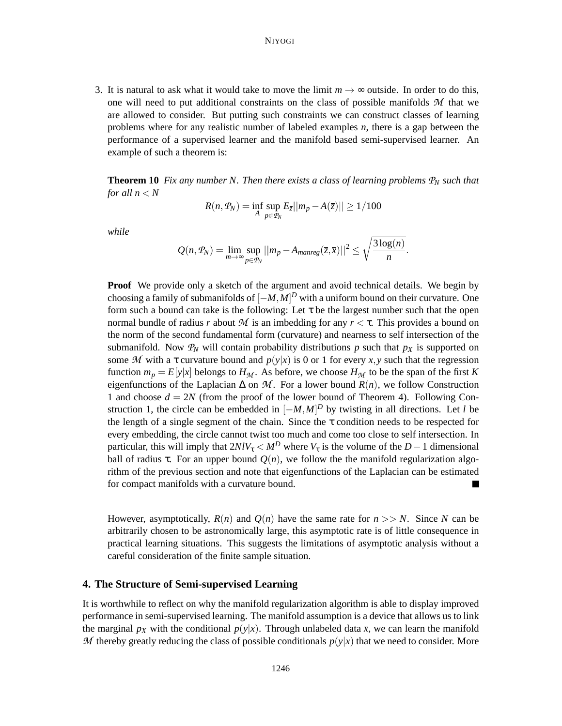3. It is natural to ask what it would take to move the limit  $m \to \infty$  outside. In order to do this, one will need to put additional constraints on the class of possible manifolds *M* that we are allowed to consider. But putting such constraints we can construct classes of learning problems where for any realistic number of labeled examples *n*, there is a gap between the performance of a supervised learner and the manifold based semi-supervised learner. An example of such a theorem is:

**Theorem 10** *Fix any number N. Then there exists a class of learning problems*  $P_N$  *such that for all*  $n < N$ 

$$
R(n, \mathcal{P}_N) = \inf_A \sup_{p \in \mathcal{P}_N} E_{\overline{z}} ||m_p - A(\overline{z})|| \ge 1/100
$$

*while*

$$
Q(n, \mathcal{P}_N) = \lim_{m \to \infty} \sup_{p \in \mathcal{P}_N} ||m_p - A_{manreg}(\bar{z}, \bar{x})||^2 \leq \sqrt{\frac{3 \log(n)}{n}}.
$$

**Proof** We provide only a sketch of the argument and avoid technical details. We begin by choosing a family of submanifolds of [−*M*,*M*] *<sup>D</sup>* with a uniform bound on their curvature. One form such a bound can take is the following: Let  $\tau$  be the largest number such that the open normal bundle of radius *r* about *M* is an imbedding for any *r* < τ. This provides a bound on the norm of the second fundamental form (curvature) and nearness to self intersection of the submanifold. Now  $P_N$  will contain probability distributions p such that  $p_X$  is supported on some *M* with a  $\tau$  curvature bound and  $p(y|x)$  is 0 or 1 for every *x*, *y* such that the regression function  $m_p = E[y|x]$  belongs to  $H_M$ . As before, we choose  $H_M$  to be the span of the first *K* eigenfunctions of the Laplacian  $\Delta$  on  $\mathcal{M}$ . For a lower bound  $R(n)$ , we follow Construction 1 and choose  $d = 2N$  (from the proof of the lower bound of Theorem 4). Following Construction 1, the circle can be embedded in  $[-M, M]^D$  by twisting in all directions. Let *l* be the length of a single segment of the chain. Since the  $\tau$  condition needs to be respected for every embedding, the circle cannot twist too much and come too close to self intersection. In particular, this will imply that  $2N/V_{\tau} < M^D$  where  $V_{\tau}$  is the volume of the *D* − 1 dimensional ball of radius  $\tau$ . For an upper bound  $O(n)$ , we follow the the manifold regularization algorithm of the previous section and note that eigenfunctions of the Laplacian can be estimated for compact manifolds with a curvature bound. П

However, asymptotically,  $R(n)$  and  $Q(n)$  have the same rate for  $n >> N$ . Since N can be arbitrarily chosen to be astronomically large, this asymptotic rate is of little consequence in practical learning situations. This suggests the limitations of asymptotic analysis without a careful consideration of the finite sample situation.

# **4. The Structure of Semi-supervised Learning**

It is worthwhile to reflect on why the manifold regularization algorithm is able to display improved performance in semi-supervised learning. The manifold assumption is a device that allows us to link the marginal  $p_X$  with the conditional  $p(y|x)$ . Through unlabeled data  $\bar{x}$ , we can learn the manifold *M* thereby greatly reducing the class of possible conditionals  $p(y|x)$  that we need to consider. More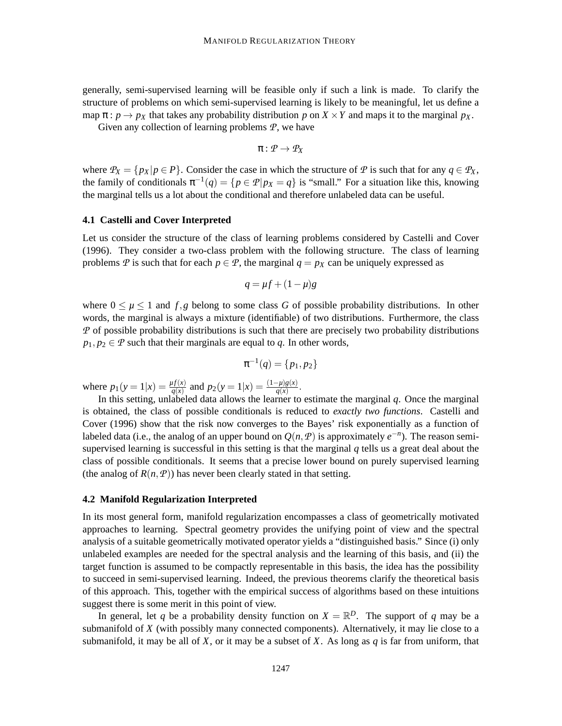generally, semi-supervised learning will be feasible only if such a link is made. To clarify the structure of problems on which semi-supervised learning is likely to be meaningful, let us define a map  $\pi$ :  $p \rightarrow p_X$  that takes any probability distribution p on  $X \times Y$  and maps it to the marginal  $p_X$ .

Given any collection of learning problems *P*, we have

$$
\pi: \mathcal{P} \to \mathcal{P}_X
$$

where  $P_X = \{p_X | p \in P\}$ . Consider the case in which the structure of  $P$  is such that for any  $q \in P_X$ , the family of conditionals  $\pi^{-1}(q) = \{p \in \mathcal{P} | p_X = q\}$  is "small." For a situation like this, knowing the marginal tells us a lot about the conditional and therefore unlabeled data can be useful.

#### **4.1 Castelli and Cover Interpreted**

Let us consider the structure of the class of learning problems considered by Castelli and Cover (1996). They consider a two-class problem with the following structure. The class of learning problems *P* is such that for each  $p \in P$ , the marginal  $q = p<sub>X</sub>$  can be uniquely expressed as

$$
q = \mu f + (1 - \mu)g
$$

where  $0 \leq \mu \leq 1$  and  $f, g$  belong to some class G of possible probability distributions. In other words, the marginal is always a mixture (identifiable) of two distributions. Furthermore, the class *P* of possible probability distributions is such that there are precisely two probability distributions  $p_1, p_2 \in \mathcal{P}$  such that their marginals are equal to *q*. In other words,

$$
\pi^{-1}(q) = \{p_1, p_2\}
$$

where  $p_1(y=1|x) = \frac{\mu f(x)}{q(x)}$  and  $p_2(y=1|x) = \frac{(1-\mu)g(x)}{q(x)}$ .

In this setting, unlabeled data allows the learner to estimate the marginal *q*. Once the marginal is obtained, the class of possible conditionals is reduced to *exactly two functions*. Castelli and Cover (1996) show that the risk now converges to the Bayes' risk exponentially as a function of labeled data (i.e., the analog of an upper bound on  $Q(n, P)$  is approximately  $e^{-n}$ ). The reason semisupervised learning is successful in this setting is that the marginal *q* tells us a great deal about the class of possible conditionals. It seems that a precise lower bound on purely supervised learning (the analog of  $R(n, P)$ ) has never been clearly stated in that setting.

## **4.2 Manifold Regularization Interpreted**

In its most general form, manifold regularization encompasses a class of geometrically motivated approaches to learning. Spectral geometry provides the unifying point of view and the spectral analysis of a suitable geometrically motivated operator yields a "distinguished basis." Since (i) only unlabeled examples are needed for the spectral analysis and the learning of this basis, and (ii) the target function is assumed to be compactly representable in this basis, the idea has the possibility to succeed in semi-supervised learning. Indeed, the previous theorems clarify the theoretical basis of this approach. This, together with the empirical success of algorithms based on these intuitions suggest there is some merit in this point of view.

In general, let q be a probability density function on  $X = \mathbb{R}^D$ . The support of q may be a submanifold of *X* (with possibly many connected components). Alternatively, it may lie close to a submanifold, it may be all of *X*, or it may be a subset of *X*. As long as  $q$  is far from uniform, that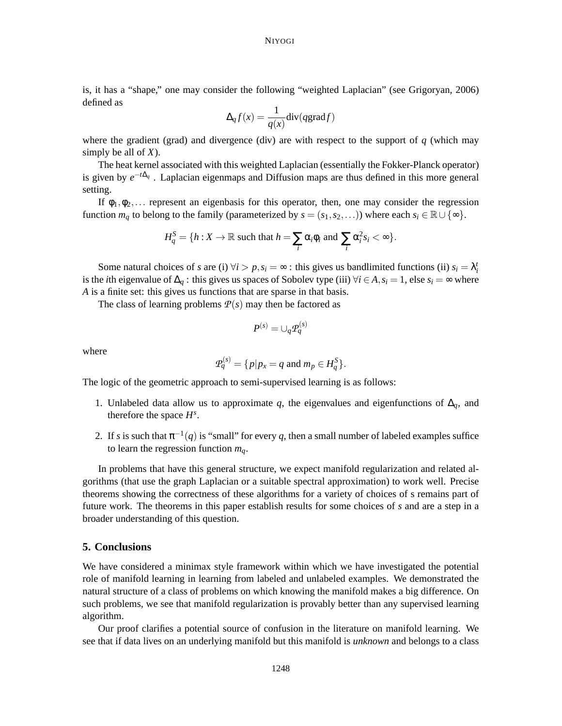is, it has a "shape," one may consider the following "weighted Laplacian" (see Grigoryan, 2006) defined as

$$
\Delta_q f(x) = \frac{1}{q(x)} \text{div}(q \text{grad} f)
$$

where the gradient (grad) and divergence (div) are with respect to the support of  $q$  (which may simply be all of *X*).

The heat kernel associated with this weighted Laplacian (essentially the Fokker-Planck operator) is given by *e* −*t*∆*<sup>q</sup>* . Laplacian eigenmaps and Diffusion maps are thus defined in this more general setting.

If  $\phi_1, \phi_2, \ldots$  represent an eigenbasis for this operator, then, one may consider the regression function  $m_q$  to belong to the family (parameterized by  $s = (s_1, s_2, \ldots)$ ) where each  $s_i \in \mathbb{R} \cup \{\infty\}$ .

$$
H_q^S = \{h: X \to \mathbb{R} \text{ such that } h = \sum_i \alpha_i \phi_i \text{ and } \sum_i \alpha_i^2 s_i < \infty \}.
$$

Some natural choices of *s* are (i)  $\forall i > p, s_i = \infty$ : this gives us bandlimited functions (ii)  $s_i = \lambda_i^t$ is the *i*th eigenvalue of  $\Delta_q$ : this gives us spaces of Sobolev type (iii)  $\forall i \in A$ ,  $s_i = 1$ , else  $s_i = ∞$  where *A* is a finite set: this gives us functions that are sparse in that basis.

The class of learning problems  $P(s)$  may then be factored as

$$
P^{(s)} = \cup_q \mathcal{P}_q^{(s)}
$$

where

$$
\mathcal{P}_q^{(s)} = \{ p | p_x = q \text{ and } m_p \in H_q^S \}.
$$

The logic of the geometric approach to semi-supervised learning is as follows:

- 1. Unlabeled data allow us to approximate *q*, the eigenvalues and eigenfunctions of ∆*q*, and therefore the space  $H^s$ .
- 2. If *s* is such that  $\pi^{-1}(q)$  is "small" for every *q*, then a small number of labeled examples suffice to learn the regression function *mq*.

In problems that have this general structure, we expect manifold regularization and related algorithms (that use the graph Laplacian or a suitable spectral approximation) to work well. Precise theorems showing the correctness of these algorithms for a variety of choices of s remains part of future work. The theorems in this paper establish results for some choices of *s* and are a step in a broader understanding of this question.

## **5. Conclusions**

We have considered a minimax style framework within which we have investigated the potential role of manifold learning in learning from labeled and unlabeled examples. We demonstrated the natural structure of a class of problems on which knowing the manifold makes a big difference. On such problems, we see that manifold regularization is provably better than any supervised learning algorithm.

Our proof clarifies a potential source of confusion in the literature on manifold learning. We see that if data lives on an underlying manifold but this manifold is *unknown* and belongs to a class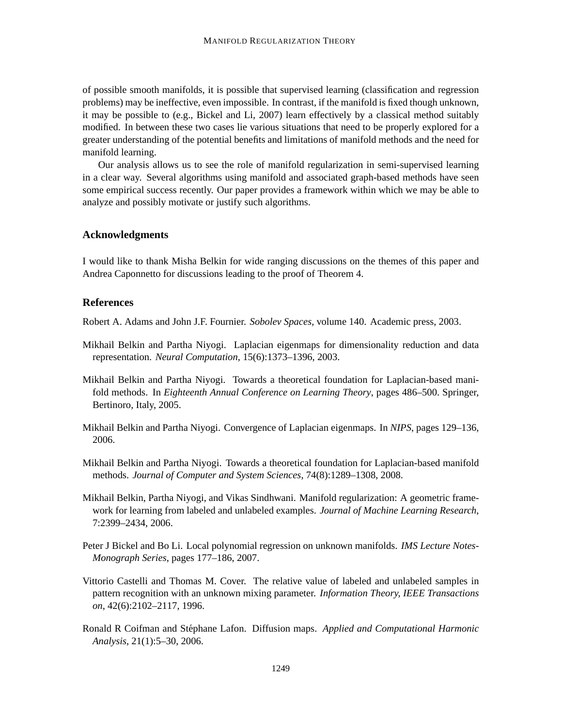of possible smooth manifolds, it is possible that supervised learning (classification and regression problems) may be ineffective, even impossible. In contrast, if the manifold is fixed though unknown, it may be possible to (e.g., Bickel and Li, 2007) learn effectively by a classical method suitably modified. In between these two cases lie various situations that need to be properly explored for a greater understanding of the potential benefits and limitations of manifold methods and the need for manifold learning.

Our analysis allows us to see the role of manifold regularization in semi-supervised learning in a clear way. Several algorithms using manifold and associated graph-based methods have seen some empirical success recently. Our paper provides a framework within which we may be able to analyze and possibly motivate or justify such algorithms.

## **Acknowledgments**

I would like to thank Misha Belkin for wide ranging discussions on the themes of this paper and Andrea Caponnetto for discussions leading to the proof of Theorem 4.

# **References**

Robert A. Adams and John J.F. Fournier. *Sobolev Spaces*, volume 140. Academic press, 2003.

- Mikhail Belkin and Partha Niyogi. Laplacian eigenmaps for dimensionality reduction and data representation. *Neural Computation*, 15(6):1373–1396, 2003.
- Mikhail Belkin and Partha Niyogi. Towards a theoretical foundation for Laplacian-based manifold methods. In *Eighteenth Annual Conference on Learning Theory*, pages 486–500. Springer, Bertinoro, Italy, 2005.
- Mikhail Belkin and Partha Niyogi. Convergence of Laplacian eigenmaps. In *NIPS*, pages 129–136, 2006.
- Mikhail Belkin and Partha Niyogi. Towards a theoretical foundation for Laplacian-based manifold methods. *Journal of Computer and System Sciences*, 74(8):1289–1308, 2008.
- Mikhail Belkin, Partha Niyogi, and Vikas Sindhwani. Manifold regularization: A geometric framework for learning from labeled and unlabeled examples. *Journal of Machine Learning Research*, 7:2399–2434, 2006.
- Peter J Bickel and Bo Li. Local polynomial regression on unknown manifolds. *IMS Lecture Notes-Monograph Series*, pages 177–186, 2007.
- Vittorio Castelli and Thomas M. Cover. The relative value of labeled and unlabeled samples in pattern recognition with an unknown mixing parameter. *Information Theory, IEEE Transactions on*, 42(6):2102–2117, 1996.
- Ronald R Coifman and Stephane Lafon. Diffusion maps. ´ *Applied and Computational Harmonic Analysis*, 21(1):5–30, 2006.